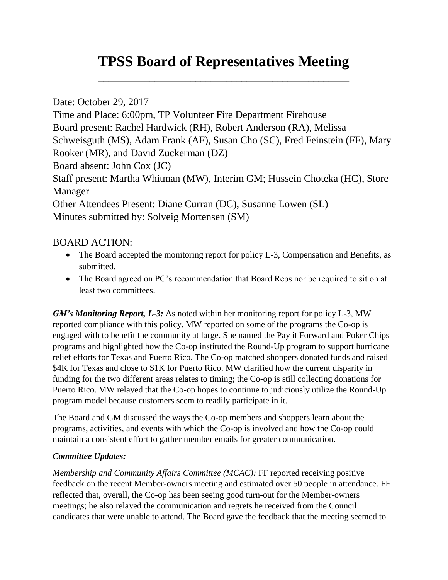## **TPSS Board of Representatives Meeting**

\_\_\_\_\_\_\_\_\_\_\_\_\_\_\_\_\_\_\_\_\_\_\_\_\_\_\_\_\_\_\_\_\_\_\_\_\_\_\_\_\_\_\_\_\_\_\_\_\_

Date: October 29, 2017 Time and Place: 6:00pm, TP Volunteer Fire Department Firehouse Board present: Rachel Hardwick (RH), Robert Anderson (RA), Melissa Schweisguth (MS), Adam Frank (AF), Susan Cho (SC), Fred Feinstein (FF), Mary Rooker (MR), and David Zuckerman (DZ) Board absent: John Cox (JC) Staff present: Martha Whitman (MW), Interim GM; Hussein Choteka (HC), Store Manager Other Attendees Present: Diane Curran (DC), Susanne Lowen (SL)

Minutes submitted by: Solveig Mortensen (SM)

## BOARD ACTION:

- The Board accepted the monitoring report for policy L-3, Compensation and Benefits, as submitted.
- The Board agreed on PC's recommendation that Board Reps nor be required to sit on at least two committees.

*GM's Monitoring Report, L-3:* As noted within her monitoring report for policy L-3, MW reported compliance with this policy. MW reported on some of the programs the Co-op is engaged with to benefit the community at large. She named the Pay it Forward and Poker Chips programs and highlighted how the Co-op instituted the Round-Up program to support hurricane relief efforts for Texas and Puerto Rico. The Co-op matched shoppers donated funds and raised \$4K for Texas and close to \$1K for Puerto Rico. MW clarified how the current disparity in funding for the two different areas relates to timing; the Co-op is still collecting donations for Puerto Rico. MW relayed that the Co-op hopes to continue to judiciously utilize the Round-Up program model because customers seem to readily participate in it.

The Board and GM discussed the ways the Co-op members and shoppers learn about the programs, activities, and events with which the Co-op is involved and how the Co-op could maintain a consistent effort to gather member emails for greater communication.

## *Committee Updates:*

*Membership and Community Affairs Committee (MCAC):* FF reported receiving positive feedback on the recent Member-owners meeting and estimated over 50 people in attendance. FF reflected that, overall, the Co-op has been seeing good turn-out for the Member-owners meetings; he also relayed the communication and regrets he received from the Council candidates that were unable to attend. The Board gave the feedback that the meeting seemed to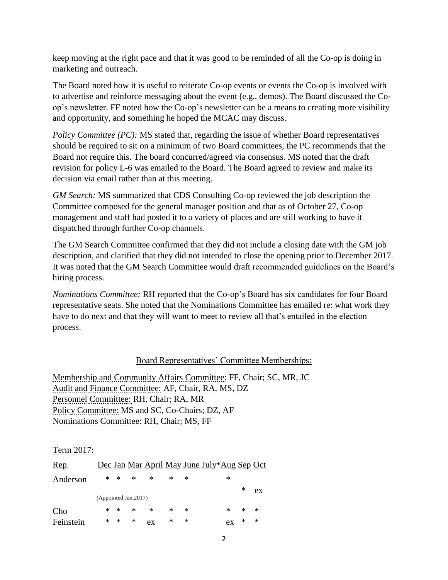keep moving at the right pace and that it was good to be reminded of all the Co-op is doing in marketing and outreach.

The Board noted how it is useful to reiterate Co-op events or events the Co-op is involved with to advertise and reinforce messaging about the event (e.g., demos). The Board discussed the Coop's newsletter. FF noted how the Co-op's newsletter can be a means to creating more visibility and opportunity, and something he hoped the MCAC may discuss.

*Policy Committee (PC):* MS stated that, regarding the issue of whether Board representatives should be required to sit on a minimum of two Board committees, the PC recommends that the Board not require this. The board concurred/agreed via consensus. MS noted that the draft revision for policy L-6 was emailed to the Board. The Board agreed to review and make its decision via email rather than at this meeting.

*GM Search:* MS summarized that CDS Consulting Co-op reviewed the job description the Committee composed for the general manager position and that as of October 27, Co-op management and staff had posted it to a variety of places and are still working to have it dispatched through further Co-op channels.

The GM Search Committee confirmed that they did not include a closing date with the GM job description, and clarified that they did not intended to close the opening prior to December 2017. It was noted that the GM Search Committee would draft recommended guidelines on the Board's hiring process.

*Nominations Committee:* RH reported that the Co-op's Board has six candidates for four Board representative seats. She noted that the Nominations Committee has emailed re: what work they have to do next and that they will want to meet to review all that's entailed in the election process.

## Board Representatives' Committee Memberships:

Membership and Community Affairs Committee: FF, Chair; SC, MR, JC Audit and Finance Committee: AF, Chair, RA, MS, DZ Personnel Committee: RH, Chair; RA, MR Policy Committee: MS and SC, Co-Chairs; DZ, AF Nominations Committee: RH, Chair; MS, FF

Term 2017:

| Rep.                 |  |               |        |        |   |   | Dec Jan Mar April May June July*Aug Sep Oct |        |    |  |  |
|----------------------|--|---------------|--------|--------|---|---|---------------------------------------------|--------|----|--|--|
| Anderson             |  | * *           | $\ast$ | ∗      | * | ∗ | *                                           |        |    |  |  |
|                      |  |               |        |        |   |   |                                             | ∗      | ex |  |  |
| (Appointed Jan.2017) |  |               |        |        |   |   |                                             |        |    |  |  |
| Cho                  |  | * *           | $\ast$ | $\ast$ | * | ∗ | *                                           | $\ast$ | -* |  |  |
| Feinstein            |  | $\ast$ $\ast$ | ∗      | ex     | ∗ | ∗ | ex                                          | ∗      | ∗  |  |  |